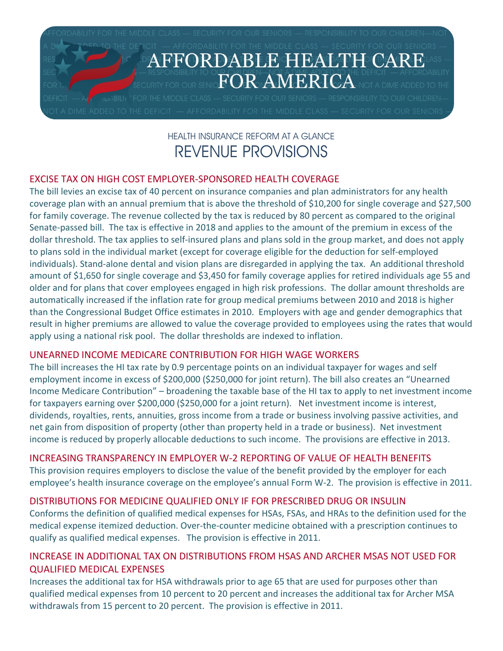

# HEALTH INSURANCE REFORM AT A GLANCE REVENUE PROVISIONS

# EXCISE TAX ON HIGH COST EMPLOYER‐SPONSORED HEALTH COVERAGE

The bill levies an excise tax of 40 percent on insurance companies and plan administrators for any health coverage plan with an annual premium that is above the threshold of \$10,200 for single coverage and \$27,500 for family coverage. The revenue collected by the tax is reduced by 80 percent as compared to the original Senate‐passed bill. The tax is effective in 2018 and applies to the amount of the premium in excess of the dollar threshold. The tax applies to self‐insured plans and plans sold in the group market, and does not apply to plans sold in the individual market (except for coverage eligible for the deduction for self‐employed individuals). Stand‐alone dental and vision plans are disregarded in applying the tax. An additional threshold amount of \$1,650 for single coverage and \$3,450 for family coverage applies for retired individuals age 55 and older and for plans that cover employees engaged in high risk professions. The dollar amount thresholds are automatically increased if the inflation rate for group medical premiums between 2010 and 2018 is higher than the Congressional Budget Office estimates in 2010. Employers with age and gender demographics that result in higher premiums are allowed to value the coverage provided to employees using the rates that would apply using a national risk pool. The dollar thresholds are indexed to inflation.

# UNEARNED INCOME MEDICARE CONTRIBUTION FOR HIGH WAGE WORKERS

The bill increases the HI tax rate by 0.9 percentage points on an individual taxpayer for wages and self employment income in excess of \$200,000 (\$250,000 for joint return). The bill also creates an "Unearned Income Medicare Contribution" – broadening the taxable base of the HI tax to apply to net investment income for taxpayers earning over \$200,000 (\$250,000 for a joint return). Net investment income is interest, dividends, royalties, rents, annuities, gross income from a trade or business involving passive activities, and net gain from disposition of property (other than property held in a trade or business). Net investment income is reduced by properly allocable deductions to such income. The provisions are effective in 2013.

## INCREASING TRANSPARENCY IN EMPLOYER W‐2 REPORTING OF VALUE OF HEALTH BENEFITS

This provision requires employers to disclose the value of the benefit provided by the employer for each employee's health insurance coverage on the employee's annual Form W‐2. The provision is effective in 2011.

# DISTRIBUTIONS FOR MEDICINE QUALIFIED ONLY IF FOR PRESCRIBED DRUG OR INSULIN

Conforms the definition of qualified medical expenses for HSAs, FSAs, and HRAs to the definition used for the medical expense itemized deduction. Over‐the‐counter medicine obtained with a prescription continues to qualify as qualified medical expenses. The provision is effective in 2011.

# INCREASE IN ADDITIONAL TAX ON DISTRIBUTIONS FROM HSAS AND ARCHER MSAS NOT USED FOR QUALIFIED MEDICAL EXPENSES

Increases the additional tax for HSA withdrawals prior to age 65 that are used for purposes other than qualified medical expenses from 10 percent to 20 percent and increases the additional tax for Archer MSA withdrawals from 15 percent to 20 percent. The provision is effective in 2011.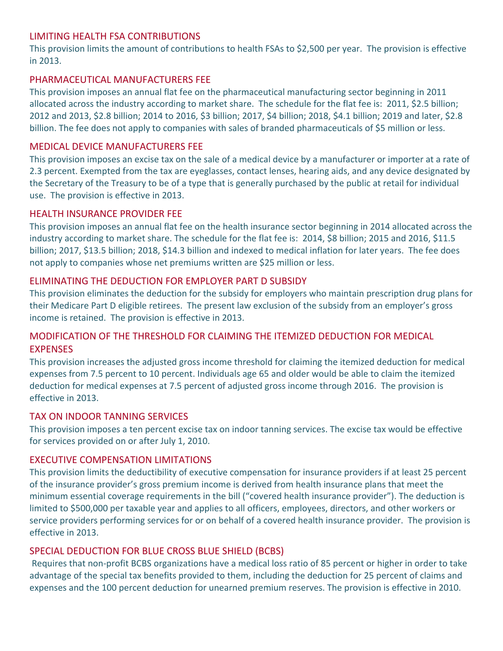## LIMITING HEALTH FSA CONTRIBUTIONS

This provision limits the amount of contributions to health FSAs to \$2,500 per year. The provision is effective in 2013.

## PHARMACEUTICAL MANUFACTURERS FEE

This provision imposes an annual flat fee on the pharmaceutical manufacturing sector beginning in 2011 allocated across the industry according to market share. The schedule for the flat fee is: 2011, \$2.5 billion; 2012 and 2013, \$2.8 billion; 2014 to 2016, \$3 billion; 2017, \$4 billion; 2018, \$4.1 billion; 2019 and later, \$2.8 billion. The fee does not apply to companies with sales of branded pharmaceuticals of \$5 million or less.

## MEDICAL DEVICE MANUFACTURERS FEE

This provision imposes an excise tax on the sale of a medical device by a manufacturer or importer at a rate of 2.3 percent. Exempted from the tax are eyeglasses, contact lenses, hearing aids, and any device designated by the Secretary of the Treasury to be of a type that is generally purchased by the public at retail for individual use. The provision is effective in 2013.

## HEALTH INSURANCE PROVIDER FEE

This provision imposes an annual flat fee on the health insurance sector beginning in 2014 allocated across the industry according to market share. The schedule for the flat fee is: 2014, \$8 billion; 2015 and 2016, \$11.5 billion; 2017, \$13.5 billion; 2018, \$14.3 billion and indexed to medical inflation for later years. The fee does not apply to companies whose net premiums written are \$25 million or less.

# ELIMINATING THE DEDUCTION FOR EMPLOYER PART D SUBSIDY

This provision eliminates the deduction for the subsidy for employers who maintain prescription drug plans for their Medicare Part D eligible retirees. The present law exclusion of the subsidy from an employer's gross income is retained. The provision is effective in 2013.

# MODIFICATION OF THE THRESHOLD FOR CLAIMING THE ITEMIZED DEDUCTION FOR MEDICAL **EXPENSES**

This provision increases the adjusted gross income threshold for claiming the itemized deduction for medical expenses from 7.5 percent to 10 percent. Individuals age 65 and older would be able to claim the itemized deduction for medical expenses at 7.5 percent of adjusted gross income through 2016. The provision is effective in 2013.

# TAX ON INDOOR TANNING SERVICES

This provision imposes a ten percent excise tax on indoor tanning services. The excise tax would be effective for services provided on or after July 1, 2010.

## EXECUTIVE COMPENSATION LIMITATIONS

This provision limits the deductibility of executive compensation for insurance providers if at least 25 percent of the insurance provider's gross premium income is derived from health insurance plans that meet the minimum essential coverage requirements in the bill ("covered health insurance provider"). The deduction is limited to \$500,000 per taxable year and applies to all officers, employees, directors, and other workers or service providers performing services for or on behalf of a covered health insurance provider. The provision is effective in 2013.

# SPECIAL DEDUCTION FOR BLUE CROSS BLUE SHIELD (BCBS)

Requires that non‐profit BCBS organizations have a medical loss ratio of 85 percent or higher in order to take advantage of the special tax benefits provided to them, including the deduction for 25 percent of claims and expenses and the 100 percent deduction for unearned premium reserves. The provision is effective in 2010.